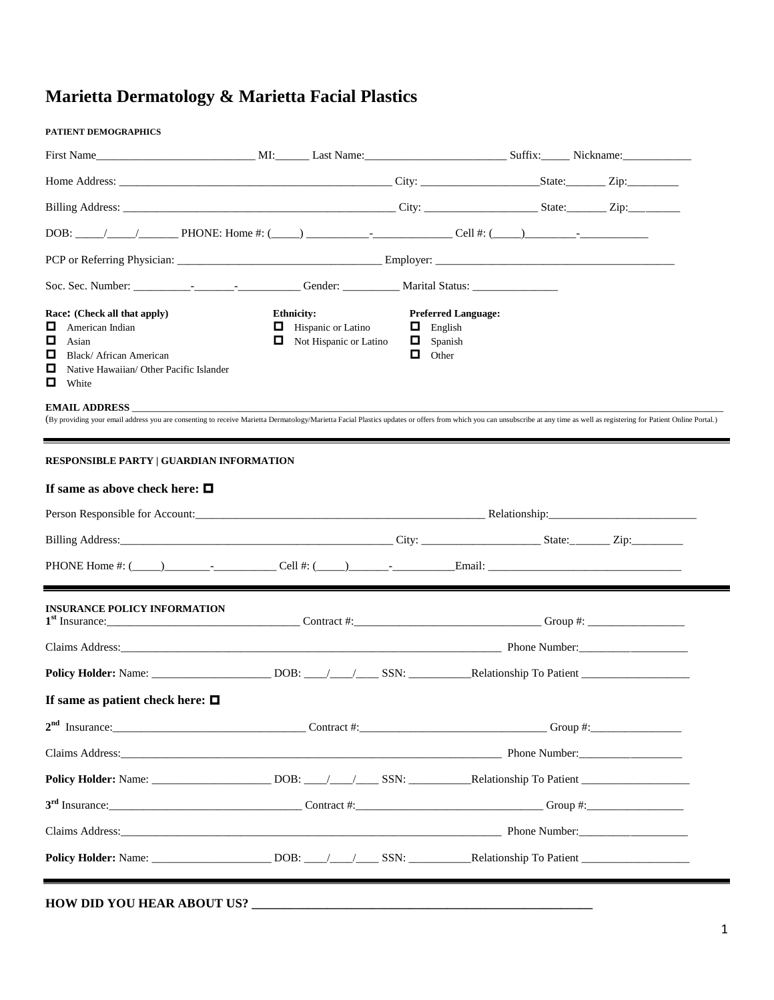# **Marietta Dermatology & Marietta Facial Plastics**

# **PATIENT DEMOGRAPHICS** First Name\_\_\_\_\_\_\_\_\_\_\_\_\_\_\_\_\_\_\_\_\_\_\_\_\_\_\_\_ MI:\_\_\_\_\_\_ Last Name:\_\_\_\_\_\_\_\_\_\_\_\_\_\_\_\_\_\_\_\_\_\_\_\_\_ Suffix:\_\_\_\_\_ Nickname:\_\_\_\_\_\_\_\_\_\_\_\_ Home Address: \_\_\_\_\_\_\_\_\_\_\_\_\_\_\_\_\_\_\_\_\_\_\_\_\_\_\_\_\_\_\_\_\_\_\_\_\_\_\_\_\_\_\_\_\_\_\_\_ City: \_\_\_\_\_\_\_\_\_\_\_\_\_\_\_\_\_\_\_\_\_State:\_\_\_\_\_\_\_ Zip:\_\_\_\_\_\_\_\_\_ Billing Address: \_\_\_\_\_\_\_\_\_\_\_\_\_\_\_\_\_\_\_\_\_\_\_\_\_\_\_\_\_\_\_\_\_\_\_\_\_\_\_\_\_\_\_\_\_\_\_\_ City: \_\_\_\_\_\_\_\_\_\_\_\_\_\_\_\_\_\_\_\_ State:\_\_\_\_\_\_\_ Zip:\_\_\_\_\_\_\_\_\_ DOB: \_\_\_\_\_/\_\_\_\_\_/\_\_\_\_\_\_\_ PHONE: Home #: (\_\_\_\_\_) \_\_\_\_\_\_\_\_\_\_\_-\_\_\_\_\_\_\_\_\_\_\_\_\_\_ Cell #: (\_\_\_\_\_)\_\_\_\_\_\_\_\_\_-\_\_\_\_\_\_\_\_\_\_\_\_ PCP or Referring Physician: \_\_\_\_\_\_\_\_\_\_\_\_\_\_\_\_\_\_\_\_\_\_\_\_\_\_\_\_\_\_\_\_\_\_\_\_ Employer: \_\_\_\_\_\_\_\_\_\_\_\_\_\_\_\_\_\_\_\_\_\_\_\_\_\_\_\_\_\_\_\_\_\_\_\_\_\_\_\_\_\_ Soc. Sec. Number: \_\_\_\_\_\_\_\_\_\_-\_\_\_\_\_\_\_-\_\_\_\_\_\_\_\_\_\_\_ Gender: \_\_\_\_\_\_\_\_\_\_ Marital Status: \_\_\_\_\_\_\_\_\_\_\_\_\_\_\_ **Race:** (Check all that apply) **Ethnicity:** Preferred Language:  $\Box$  American Indian  $\Box$  Hispanic or Latino  $\Box$  English **□** Asian **D** Asian **D** Not Hispanic or Latino **□** Spanish **□** Black/African American **□** Spanish **□** Other Black/ African American Native Hawaiian/ Other Pacific Islander  $\Box$  White **EMAIL ADDRESS** (By providing your email address you are consenting to receive Marietta Dermatology/Marietta Facial Plastics updates or offers from which you can unsubscribe at any time as well as registering for Patient Online Portal.) **RESPONSIBLE PARTY | GUARDIAN INFORMATION If same as above check here:**  Person Responsible for Account:\_\_\_\_\_\_\_\_\_\_\_\_\_\_\_\_\_\_\_\_\_\_\_\_\_\_\_\_\_\_\_\_\_\_\_\_\_\_\_\_\_\_\_\_\_\_\_\_\_\_\_ Relationship:\_\_\_\_\_\_\_\_\_\_\_\_\_\_\_\_\_\_\_\_\_\_\_\_\_\_ Billing Address:\_\_\_\_\_\_\_\_\_\_\_\_\_\_\_\_\_\_\_\_\_\_\_\_\_\_\_\_\_\_\_\_\_\_\_\_\_\_\_\_\_\_\_\_\_\_\_\_ City: \_\_\_\_\_\_\_\_\_\_\_\_\_\_\_\_\_\_\_\_\_ State:\_\_\_\_\_\_\_ Zip:\_\_\_\_\_\_\_\_\_ PHONE Home #: (\_\_\_\_\_)\_\_\_\_\_\_\_\_-\_\_\_\_\_\_\_\_\_\_\_ Cell #: (\_\_\_\_\_)\_\_\_\_\_\_\_-\_\_\_\_\_\_\_\_\_\_\_Email: \_\_\_\_\_\_\_\_\_\_\_\_\_\_\_\_\_\_\_\_\_\_\_\_\_\_\_\_\_\_\_\_\_\_

| <b>INSURANCE POLICY INFORMATION</b>   |                                                                                         |
|---------------------------------------|-----------------------------------------------------------------------------------------|
|                                       |                                                                                         |
|                                       |                                                                                         |
| If same as patient check here: $\Box$ |                                                                                         |
|                                       |                                                                                         |
|                                       | Claims Address: Phone Number: Phone Number:                                             |
|                                       |                                                                                         |
|                                       |                                                                                         |
|                                       | Claims Address: Phone Number:                                                           |
|                                       | <b>Policy Holder:</b> Name: 2008: 2008: 2008: 2008: 2008: 2012: Relationship To Patient |
|                                       |                                                                                         |

### **HOW DID YOU HEAR ABOUT US?**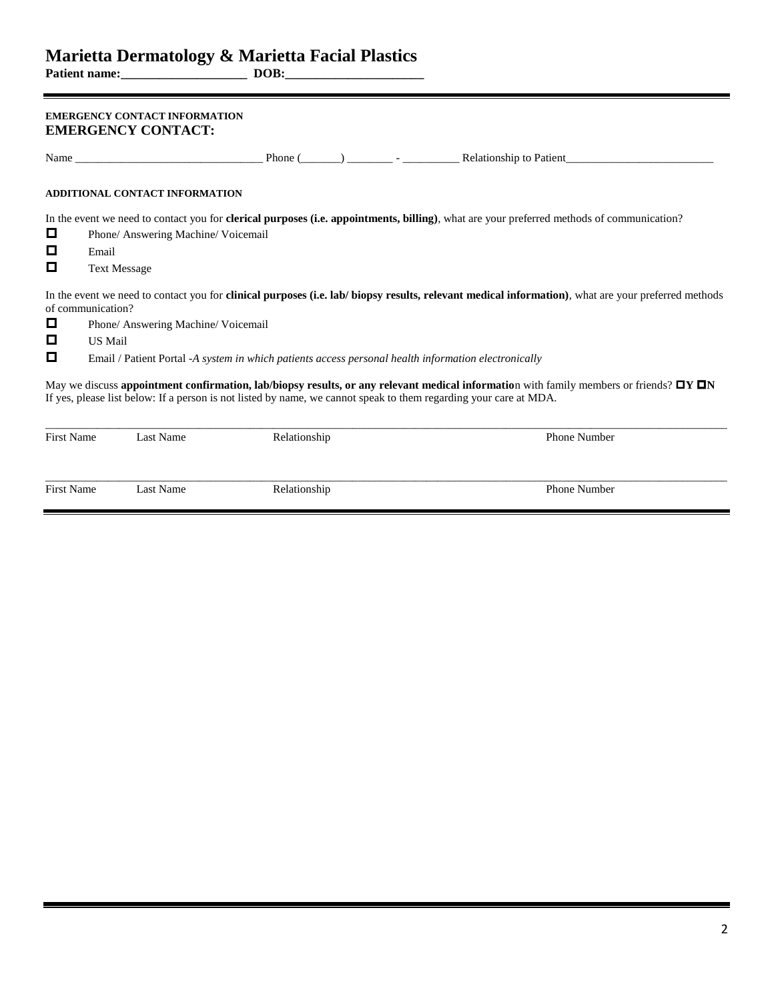**Patient name:\_\_\_\_\_\_\_\_\_\_\_\_\_\_\_\_\_\_\_\_ DOB:\_\_\_\_\_\_\_\_\_\_\_\_\_\_\_\_\_\_\_\_\_\_**

### **EMERGENCY CONTACT INFORMATION EMERGENCY CONTACT:**

|                     | Name has been able to be a series of the same series of the same series of the same series of the same series of the same series of the same series of the same series of the same series of the same series of the same serie |              |  | Phone $(\_\_\_\_\_\_\_\_\_\$ - $\_\_\_\_\_\_\$ Relationship to Patient                                                                                                                                                                                                |  |  |  |  |  |
|---------------------|--------------------------------------------------------------------------------------------------------------------------------------------------------------------------------------------------------------------------------|--------------|--|-----------------------------------------------------------------------------------------------------------------------------------------------------------------------------------------------------------------------------------------------------------------------|--|--|--|--|--|
|                     | ADDITIONAL CONTACT INFORMATION                                                                                                                                                                                                 |              |  |                                                                                                                                                                                                                                                                       |  |  |  |  |  |
|                     |                                                                                                                                                                                                                                |              |  | In the event we need to contact you for <b>clerical purposes</b> (i.e. appointments, billing), what are your preferred methods of communication?                                                                                                                      |  |  |  |  |  |
| O                   | Phone/ Answering Machine/ Voicemail                                                                                                                                                                                            |              |  |                                                                                                                                                                                                                                                                       |  |  |  |  |  |
| O<br>Email          |                                                                                                                                                                                                                                |              |  |                                                                                                                                                                                                                                                                       |  |  |  |  |  |
| О                   | <b>Text Message</b>                                                                                                                                                                                                            |              |  |                                                                                                                                                                                                                                                                       |  |  |  |  |  |
|                     | of communication?                                                                                                                                                                                                              |              |  | In the event we need to contact you for <b>clinical purposes</b> (i.e. lab/ biopsy results, relevant medical information), what are your preferred methods                                                                                                            |  |  |  |  |  |
| O                   | Phone/ Answering Machine/ Voicemail                                                                                                                                                                                            |              |  |                                                                                                                                                                                                                                                                       |  |  |  |  |  |
| o<br><b>US Mail</b> |                                                                                                                                                                                                                                |              |  |                                                                                                                                                                                                                                                                       |  |  |  |  |  |
| o                   |                                                                                                                                                                                                                                |              |  | Email / Patient Portal -A system in which patients access personal health information electronically                                                                                                                                                                  |  |  |  |  |  |
|                     |                                                                                                                                                                                                                                |              |  | May we discuss appointment confirmation, lab/biopsy results, or any relevant medical information with family members or friends? $\Box Y \Box N$<br>If yes, please list below: If a person is not listed by name, we cannot speak to them regarding your care at MDA. |  |  |  |  |  |
| <b>First Name</b>   | Last Name                                                                                                                                                                                                                      | Relationship |  | <b>Phone Number</b>                                                                                                                                                                                                                                                   |  |  |  |  |  |
| <b>First Name</b>   | Last Name                                                                                                                                                                                                                      | Relationship |  | <b>Phone Number</b>                                                                                                                                                                                                                                                   |  |  |  |  |  |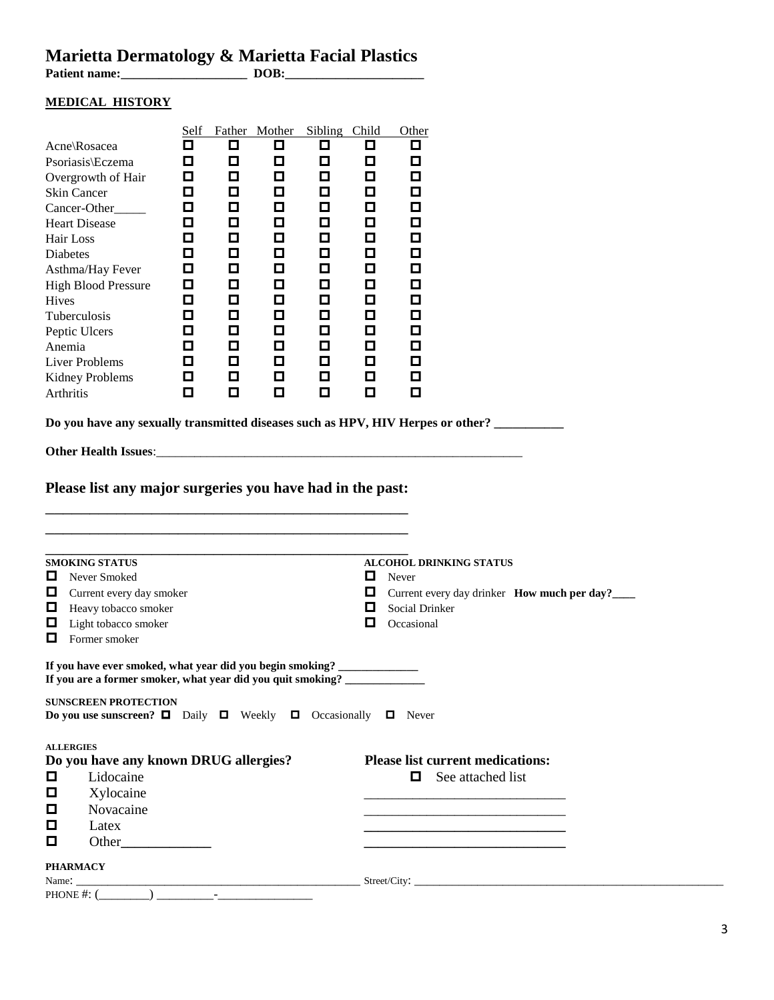## **Marietta Dermatology & Marietta Facial Plastics**

**Patient name:\_\_\_\_\_\_\_\_\_\_\_\_\_\_\_\_\_\_\_\_ DOB:\_\_\_\_\_\_\_\_\_\_\_\_\_\_\_\_\_\_\_\_\_\_**

### **MEDICAL HISTORY**

| Acne\Rosacea<br>Psoriasis\Eczema<br>Overgrowth of Hair<br>Skin Cancer<br>Cancer-Other_____<br><b>Heart Disease</b><br>Hair Loss<br>Diabetes<br>Asthma/Hay Fever<br><b>High Blood Pressure</b><br>Hives<br>Tuberculosis<br>Peptic Ulcers<br>Anemia<br><b>Liver Problems</b><br><b>Kidney Problems</b><br>Arthritis | <b>Self</b><br>□<br>$\Box$<br>$\Box$<br>П<br>О<br>П<br>О<br>П<br>Д<br>П<br>П<br>О<br>$\Box$<br>$\Box$<br>О<br>$\Box$<br>О<br>О<br>О<br>$\Box$<br>О<br>О<br>О<br>o<br>О<br>О<br>О<br>О<br>◘<br>o<br>П<br>О<br>$\Box$<br>О | Father Mother<br>□<br>$\Box$<br>О<br>О<br>О<br>О<br>О<br>О<br>О<br>□<br>О<br>О<br>О<br>О<br>O<br>П<br>О | Sibling Child<br>$\Box$<br>$\Box$<br>О<br>П<br>П<br>Ο<br>$\Box$<br>О<br>$\Box$<br>$\Box$<br>О<br>$\Box$<br>О<br>О<br>$\Box$<br>О<br>О | □<br>$\Box$<br>П<br>П<br>О<br>П<br>О<br>О<br>О<br>$\Box$<br>П<br>О<br>Д<br>Д<br>О<br>П<br>$\Box$ | Other<br>□<br>$\Box$<br>О<br>Ο<br>Ο<br>Ο<br>$\Box$<br>$\Box$<br>$\Box$<br>$\Box$<br>Ο<br>$\Box$<br>О<br>О<br>□<br>О<br>$\Box$ |                                                              |  |  |  |  |
|-------------------------------------------------------------------------------------------------------------------------------------------------------------------------------------------------------------------------------------------------------------------------------------------------------------------|--------------------------------------------------------------------------------------------------------------------------------------------------------------------------------------------------------------------------|---------------------------------------------------------------------------------------------------------|---------------------------------------------------------------------------------------------------------------------------------------|--------------------------------------------------------------------------------------------------|-------------------------------------------------------------------------------------------------------------------------------|--------------------------------------------------------------|--|--|--|--|
| Do you have any sexually transmitted diseases such as HPV, HIV Herpes or other?                                                                                                                                                                                                                                   |                                                                                                                                                                                                                          |                                                                                                         |                                                                                                                                       |                                                                                                  |                                                                                                                               |                                                              |  |  |  |  |
|                                                                                                                                                                                                                                                                                                                   |                                                                                                                                                                                                                          |                                                                                                         |                                                                                                                                       |                                                                                                  |                                                                                                                               |                                                              |  |  |  |  |
| Please list any major surgeries you have had in the past:<br><b>SMOKING STATUS</b><br><b>ALCOHOL DRINKING STATUS</b><br>o<br>Never Smoked<br>Never                                                                                                                                                                |                                                                                                                                                                                                                          |                                                                                                         |                                                                                                                                       |                                                                                                  |                                                                                                                               |                                                              |  |  |  |  |
| Current every day smoker<br>Heavy tobacco smoker<br>0<br>0<br>Light tobacco smoker<br>O.<br>Former smoker                                                                                                                                                                                                         |                                                                                                                                                                                                                          |                                                                                                         |                                                                                                                                       | o<br>O                                                                                           | Social Drinker<br>Occasional                                                                                                  | Current every day drinker How much per day?____              |  |  |  |  |
| If you have ever smoked, what year did you begin smoking?<br>If you are a former smoker, what year did you quit smoking? _____________________                                                                                                                                                                    |                                                                                                                                                                                                                          |                                                                                                         |                                                                                                                                       |                                                                                                  |                                                                                                                               |                                                              |  |  |  |  |
| <b>SUNSCREEN PROTECTION</b><br><b>Do you use sunscreen?</b> $\Box$ Daily $\Box$ Weekly $\Box$ Occasionally $\Box$ Never                                                                                                                                                                                           |                                                                                                                                                                                                                          |                                                                                                         |                                                                                                                                       |                                                                                                  |                                                                                                                               |                                                              |  |  |  |  |
| <b>ALLERGIES</b><br>Do you have any known DRUG allergies?<br>Lidocaine<br>$\Box$<br>□<br>Xylocaine<br>Novacaine<br>O<br>Latex<br>o<br>o<br>Other                                                                                                                                                                  |                                                                                                                                                                                                                          |                                                                                                         |                                                                                                                                       |                                                                                                  |                                                                                                                               | <b>Please list current medications:</b><br>See attached list |  |  |  |  |
| <b>PHARMACY</b><br>PHONE #: $($                                                                                                                                                                                                                                                                                   |                                                                                                                                                                                                                          |                                                                                                         |                                                                                                                                       |                                                                                                  |                                                                                                                               |                                                              |  |  |  |  |